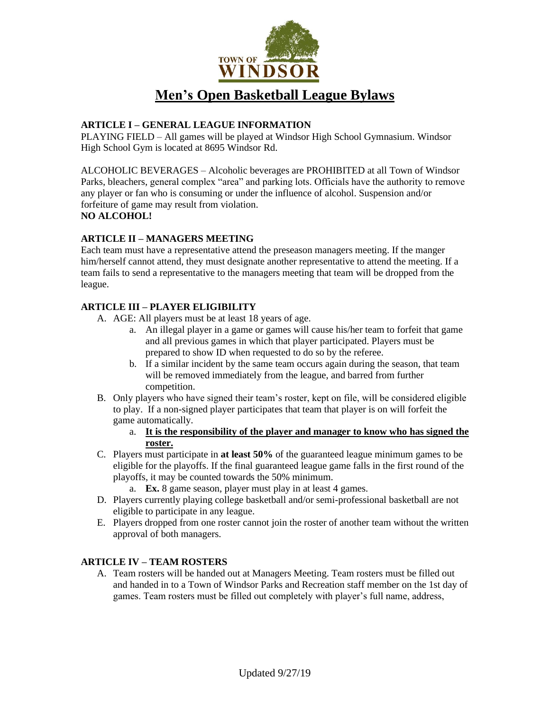

# **Men's Open Basketball League Bylaws**

# **ARTICLE I – GENERAL LEAGUE INFORMATION**

PLAYING FIELD – All games will be played at Windsor High School Gymnasium. Windsor High School Gym is located at 8695 Windsor Rd.

ALCOHOLIC BEVERAGES – Alcoholic beverages are PROHIBITED at all Town of Windsor Parks, bleachers, general complex "area" and parking lots. Officials have the authority to remove any player or fan who is consuming or under the influence of alcohol. Suspension and/or forfeiture of game may result from violation.

# **NO ALCOHOL!**

## **ARTICLE II – MANAGERS MEETING**

Each team must have a representative attend the preseason managers meeting. If the manger him/herself cannot attend, they must designate another representative to attend the meeting. If a team fails to send a representative to the managers meeting that team will be dropped from the league.

# **ARTICLE III – PLAYER ELIGIBILITY**

- A. AGE: All players must be at least 18 years of age.
	- a. An illegal player in a game or games will cause his/her team to forfeit that game and all previous games in which that player participated. Players must be prepared to show ID when requested to do so by the referee.
	- b. If a similar incident by the same team occurs again during the season, that team will be removed immediately from the league, and barred from further competition.
- B. Only players who have signed their team's roster, kept on file, will be considered eligible to play. If a non-signed player participates that team that player is on will forfeit the game automatically.
	- a. **It is the responsibility of the player and manager to know who has signed the roster.**
- C. Players must participate in **at least 50%** of the guaranteed league minimum games to be eligible for the playoffs. If the final guaranteed league game falls in the first round of the playoffs, it may be counted towards the 50% minimum.
	- a. **Ex.** 8 game season, player must play in at least 4 games.
- D. Players currently playing college basketball and/or semi-professional basketball are not eligible to participate in any league.
- E. Players dropped from one roster cannot join the roster of another team without the written approval of both managers.

## **ARTICLE IV – TEAM ROSTERS**

A. Team rosters will be handed out at Managers Meeting. Team rosters must be filled out and handed in to a Town of Windsor Parks and Recreation staff member on the 1st day of games. Team rosters must be filled out completely with player's full name, address,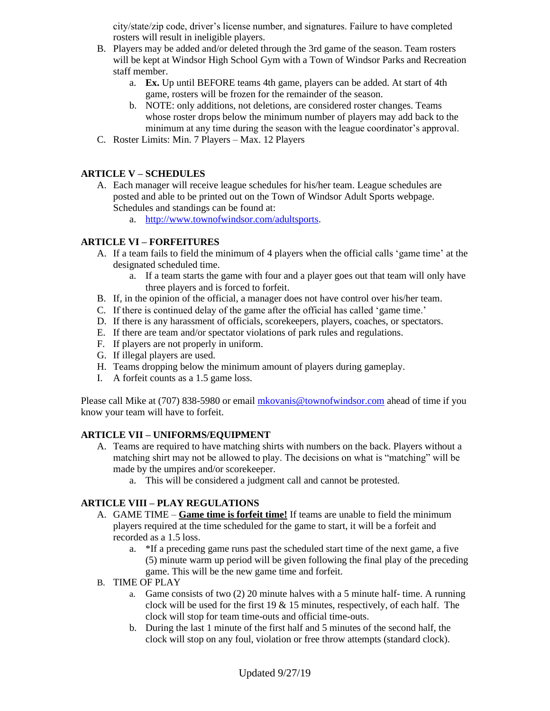city/state/zip code, driver's license number, and signatures. Failure to have completed rosters will result in ineligible players.

- B. Players may be added and/or deleted through the 3rd game of the season. Team rosters will be kept at Windsor High School Gym with a Town of Windsor Parks and Recreation staff member.
	- a. **Ex.** Up until BEFORE teams 4th game, players can be added. At start of 4th game, rosters will be frozen for the remainder of the season.
	- b. NOTE: only additions, not deletions, are considered roster changes. Teams whose roster drops below the minimum number of players may add back to the minimum at any time during the season with the league coordinator's approval.
- C. Roster Limits: Min. 7 Players Max. 12 Players

## **ARTICLE V – SCHEDULES**

- A. Each manager will receive league schedules for his/her team. League schedules are posted and able to be printed out on the Town of Windsor Adult Sports webpage. Schedules and standings can be found at:
	- a. [http://www.townofwindsor.com/adultsports.](http://www.townofwindsor.com/adultsports)

#### **ARTICLE VI – FORFEITURES**

- A. If a team fails to field the minimum of 4 players when the official calls 'game time' at the designated scheduled time.
	- a. If a team starts the game with four and a player goes out that team will only have three players and is forced to forfeit.
- B. If, in the opinion of the official, a manager does not have control over his/her team.
- C. If there is continued delay of the game after the official has called 'game time.'
- D. If there is any harassment of officials, scorekeepers, players, coaches, or spectators.
- E. If there are team and/or spectator violations of park rules and regulations.
- F. If players are not properly in uniform.
- G. If illegal players are used.
- H. Teams dropping below the minimum amount of players during gameplay.
- I. A forfeit counts as a 1.5 game loss.

Please call Mike at (707) 838-5980 or emai[l mkovanis@townofwindsor.com](mailto:mkovanis@townofwindsor.com) ahead of time if you know your team will have to forfeit.

## **ARTICLE VII – UNIFORMS/EQUIPMENT**

- A. Teams are required to have matching shirts with numbers on the back. Players without a matching shirt may not be allowed to play. The decisions on what is "matching" will be made by the umpires and/or scorekeeper.
	- a. This will be considered a judgment call and cannot be protested.

## **ARTICLE VIII – PLAY REGULATIONS**

- A. GAME TIME **Game time is forfeit time!** If teams are unable to field the minimum players required at the time scheduled for the game to start, it will be a forfeit and recorded as a 1.5 loss.
	- a. \*If a preceding game runs past the scheduled start time of the next game, a five (5) minute warm up period will be given following the final play of the preceding game. This will be the new game time and forfeit.
- B. TIME OF PLAY
	- a. Game consists of two (2) 20 minute halves with a 5 minute half- time. A running clock will be used for the first  $19 \& 15$  minutes, respectively, of each half. The clock will stop for team time-outs and official time-outs.
	- b. During the last 1 minute of the first half and 5 minutes of the second half, the clock will stop on any foul, violation or free throw attempts (standard clock).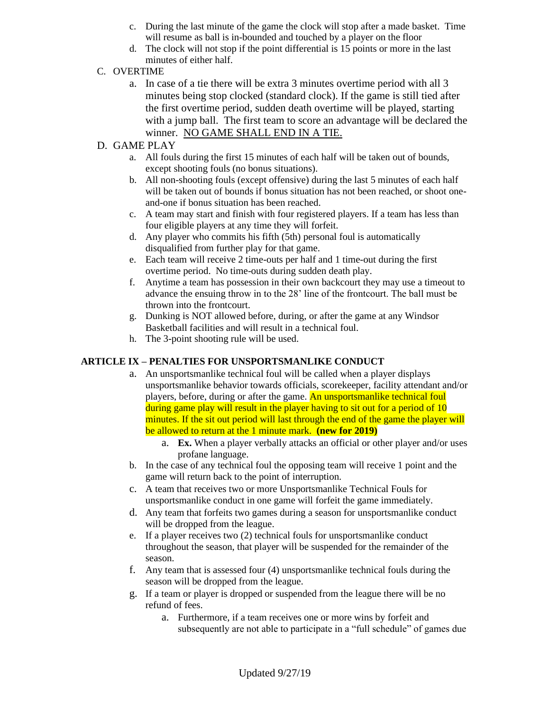- c. During the last minute of the game the clock will stop after a made basket. Time will resume as ball is in-bounded and touched by a player on the floor
- d. The clock will not stop if the point differential is 15 points or more in the last minutes of either half.

# C. OVERTIME

a. In case of a tie there will be extra 3 minutes overtime period with all 3 minutes being stop clocked (standard clock). If the game is still tied after the first overtime period, sudden death overtime will be played, starting with a jump ball. The first team to score an advantage will be declared the winner. NO GAME SHALL END IN A TIE.

# D. GAME PLAY

- a. All fouls during the first 15 minutes of each half will be taken out of bounds, except shooting fouls (no bonus situations).
- b. All non-shooting fouls (except offensive) during the last 5 minutes of each half will be taken out of bounds if bonus situation has not been reached, or shoot oneand-one if bonus situation has been reached.
- c. A team may start and finish with four registered players. If a team has less than four eligible players at any time they will forfeit.
- d. Any player who commits his fifth (5th) personal foul is automatically disqualified from further play for that game.
- e. Each team will receive 2 time-outs per half and 1 time-out during the first overtime period. No time-outs during sudden death play.
- f. Anytime a team has possession in their own backcourt they may use a timeout to advance the ensuing throw in to the 28' line of the frontcourt. The ball must be thrown into the frontcourt.
- g. Dunking is NOT allowed before, during, or after the game at any Windsor Basketball facilities and will result in a technical foul.
- h. The 3-point shooting rule will be used.

## **ARTICLE IX – PENALTIES FOR UNSPORTSMANLIKE CONDUCT**

- a. An unsportsmanlike technical foul will be called when a player displays unsportsmanlike behavior towards officials, scorekeeper, facility attendant and/or players, before, during or after the game. An unsportsmanlike technical foul during game play will result in the player having to sit out for a period of 10 minutes. If the sit out period will last through the end of the game the player will be allowed to return at the 1 minute mark. **(new for 2019)**
	- a. **Ex.** When a player verbally attacks an official or other player and/or uses profane language.
- b. In the case of any technical foul the opposing team will receive 1 point and the game will return back to the point of interruption.
- c. A team that receives two or more Unsportsmanlike Technical Fouls for unsportsmanlike conduct in one game will forfeit the game immediately.
- d. Any team that forfeits two games during a season for unsportsmanlike conduct will be dropped from the league.
- e. If a player receives two (2) technical fouls for unsportsmanlike conduct throughout the season, that player will be suspended for the remainder of the season.
- f. Any team that is assessed four (4) unsportsmanlike technical fouls during the season will be dropped from the league.
- g. If a team or player is dropped or suspended from the league there will be no refund of fees.
	- a. Furthermore, if a team receives one or more wins by forfeit and subsequently are not able to participate in a "full schedule" of games due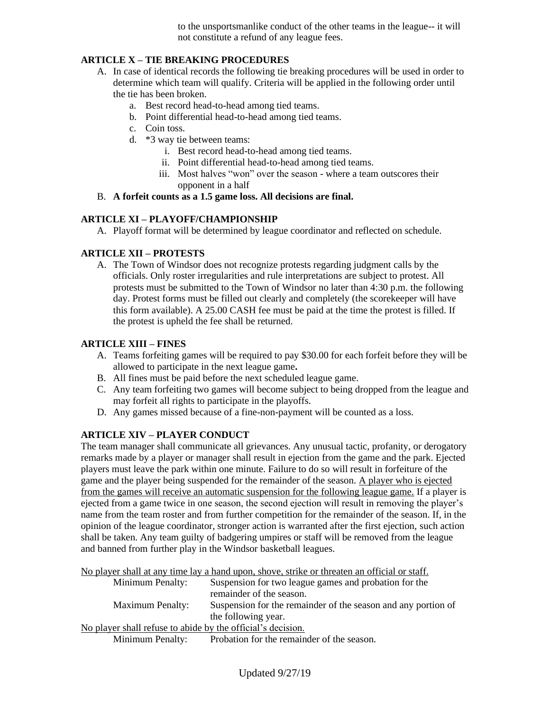to the unsportsmanlike conduct of the other teams in the league-- it will not constitute a refund of any league fees.

# **ARTICLE X – TIE BREAKING PROCEDURES**

- A. In case of identical records the following tie breaking procedures will be used in order to determine which team will qualify. Criteria will be applied in the following order until the tie has been broken.
	- a. Best record head-to-head among tied teams.
	- b. Point differential head-to-head among tied teams.
	- c. Coin toss.
	- d. \*3 way tie between teams:
		- i. Best record head-to-head among tied teams.
		- ii. Point differential head-to-head among tied teams.
		- iii. Most halves "won" over the season where a team outscores their opponent in a half

#### B. **A forfeit counts as a 1.5 game loss. All decisions are final.**

#### **ARTICLE XI – PLAYOFF/CHAMPIONSHIP**

A. Playoff format will be determined by league coordinator and reflected on schedule.

#### **ARTICLE XII – PROTESTS**

A. The Town of Windsor does not recognize protests regarding judgment calls by the officials. Only roster irregularities and rule interpretations are subject to protest. All protests must be submitted to the Town of Windsor no later than 4:30 p.m. the following day. Protest forms must be filled out clearly and completely (the scorekeeper will have this form available). A 25.00 CASH fee must be paid at the time the protest is filled. If the protest is upheld the fee shall be returned.

#### **ARTICLE XIII – FINES**

- A. Teams forfeiting games will be required to pay \$30.00 for each forfeit before they will be allowed to participate in the next league game**.**
- B. All fines must be paid before the next scheduled league game.
- C. Any team forfeiting two games will become subject to being dropped from the league and may forfeit all rights to participate in the playoffs.
- D. Any games missed because of a fine-non-payment will be counted as a loss.

## **ARTICLE XIV – PLAYER CONDUCT**

The team manager shall communicate all grievances. Any unusual tactic, profanity, or derogatory remarks made by a player or manager shall result in ejection from the game and the park. Ejected players must leave the park within one minute. Failure to do so will result in forfeiture of the game and the player being suspended for the remainder of the season. A player who is ejected from the games will receive an automatic suspension for the following league game. If a player is ejected from a game twice in one season, the second ejection will result in removing the player's name from the team roster and from further competition for the remainder of the season. If, in the opinion of the league coordinator, stronger action is warranted after the first ejection, such action shall be taken. Any team guilty of badgering umpires or staff will be removed from the league and banned from further play in the Windsor basketball leagues.

No player shall at any time lay a hand upon, shove, strike or threaten an official or staff.

|                                                             | Minimum Penalty:        | Suspension for two league games and probation for the         |
|-------------------------------------------------------------|-------------------------|---------------------------------------------------------------|
|                                                             |                         | remainder of the season.                                      |
|                                                             | <b>Maximum Penalty:</b> | Suspension for the remainder of the season and any portion of |
|                                                             |                         | the following year.                                           |
| No player shall refuse to abide by the official's decision. |                         |                                                               |
|                                                             | <b>Minimum Penalty:</b> | Probation for the remainder of the season.                    |